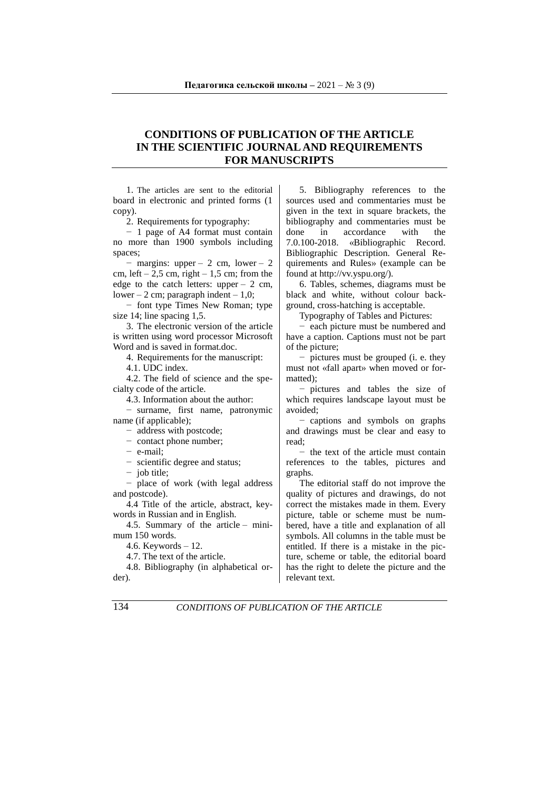## **CONDITIONS OF PUBLICATION OF THE ARTICLE IN THE SCIENTIFIC JOURNAL AND REQUIREMENTS FOR MANUSCRIPTS**

1. The articles are sent to the editorial board in electronic and printed forms (1 copy).

2. Requirements for typography:

− 1 page of A4 format must contain no more than 1900 symbols including spaces;

− margins: upper – 2 cm, lower – 2 cm, left – 2,5 cm, right – 1,5 cm; from the edge to the catch letters:  $\text{upper} - 2 \text{ cm}$ . lower – 2 cm; paragraph indent –  $1.0$ ;

− font type Times New Roman; type size 14; line spacing 1,5.

3. The electronic version of the article is written using word processor Microsoft Word and is saved in format.doc.

4. Requirements for the manuscript:

4.1. UDC index.

4.2. The field of science and the specialty code of the article.

4.3. Information about the author:

− surname, first name, patronymic name (if applicable);

− address with postcode;

− contact phone number;

− e-mail;

− scientific degree and status;

− job title;

− place of work (with legal address and postcode).

4.4 Title of the article, abstract, keywords in Russian and in English.

4.5. Summary of the article – minimum 150 words.

4.6. Keywords – 12.

4.7. The text of the article.

4.8. Bibliography (in alphabetical order).

5. Bibliography references to the sources used and commentaries must be given in the text in square brackets, the bibliography and commentaries must be done in accordance with the 7.0.100-2018. «Bibliographic Record. Bibliographic Description. General Requirements and Rules» (example can be found at http://vv.yspu.org/).

6. Tables, schemes, diagrams must be black and white, without colour background, cross-hatching is acceptable.

Typography of Tables and Pictures:

− each picture must be numbered and have a caption. Captions must not be part of the picture;

− pictures must be grouped (i. e. they must not «fall apart» when moved or formatted);

− pictures and tables the size of which requires landscape layout must be avoided;

− captions and symbols on graphs and drawings must be clear and easy to read;

− the text of the article must contain references to the tables, pictures and graphs.

The editorial staff do not improve the quality of pictures and drawings, do not correct the mistakes made in them. Every picture, table or scheme must be numbered, have a title and explanation of all symbols. All columns in the table must be entitled. If there is a mistake in the picture, scheme or table, the editorial board has the right to delete the picture and the relevant text.

134 *CONDITIONS OF PUBLICATION OF THE ARTICLE*